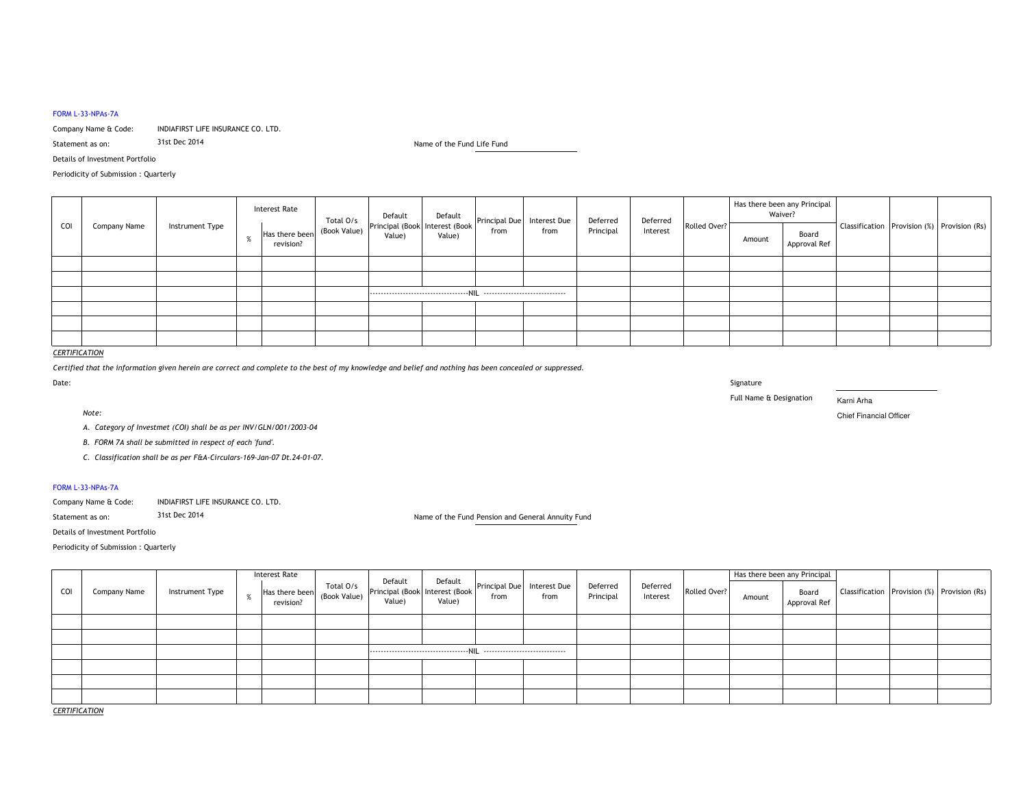## FORM L-33-NPAs-7A

Company Name & Code: INDIAFIRST LIFE INSURANCE CO. LTD.<br>Statement as on: 31st Dec 2014

Statement as on:

31st Dec 2014 **State 1 Accord 2014** Life Fund Life Fund Life Fund Life Fund Life Fund Life Fund Life Fund Life Fund

Details of Investment Portfolio

Periodicity of Submission : Quarterly

| COI | Company Name | Instrument Type | <b>Interest Rate</b>        | Total O/s<br>(Book Value) | Default<br>Value) | Default<br>Principal (Book   Interest (Book   Principal Due   Interest Due  <br>Value) | from | from | Deferred<br>Principal | Deferred<br>Interest | Rolled Over? | Has there been any Principal<br>Waiver? |                       |  |                                             |
|-----|--------------|-----------------|-----------------------------|---------------------------|-------------------|----------------------------------------------------------------------------------------|------|------|-----------------------|----------------------|--------------|-----------------------------------------|-----------------------|--|---------------------------------------------|
|     |              |                 | Has there been<br>revision? |                           |                   |                                                                                        |      |      |                       |                      |              | Amount                                  | Board<br>Approval Ref |  | Classification Provision (%) Provision (Rs) |
|     |              |                 |                             |                           |                   |                                                                                        |      |      |                       |                      |              |                                         |                       |  |                                             |
|     |              |                 |                             |                           |                   |                                                                                        |      |      |                       |                      |              |                                         |                       |  |                                             |
|     |              |                 |                             |                           |                   |                                                                                        |      |      |                       |                      |              |                                         |                       |  |                                             |
|     |              |                 |                             |                           |                   |                                                                                        |      |      |                       |                      |              |                                         |                       |  |                                             |
|     |              |                 |                             |                           |                   |                                                                                        |      |      |                       |                      |              |                                         |                       |  |                                             |
|     |              |                 |                             |                           |                   |                                                                                        |      |      |                       |                      |              |                                         |                       |  |                                             |

## *CERTIFICATION*

*Certified that the information given herein are correct and complete to the best of my knowledge and belief and nothing has been concealed or suppressed.*

Date:. The contract of the contract of the contract of the contract of the contract of the contract of the contract of the contract of the contract of the contract of the contract of the contract of the contract of the contract

Full Name & Designation

Karni Arha

Chief Financial Officer Chief Financial Officer

*A. Category of Investmet (COI) shall be as per INV/GLN/001/2003-04*

*B. FORM 7A shall be submitted in respect of each 'fund'.*

*C. Classification shall be as per F&A-Circulars-169-Jan-07 Dt.24-01-07.*

## FORM L-33-NPAs-7A

*Note:*

| Company Name & Code: | INDIAFIRST LIFE INSURANCE CO. LTD. |
|----------------------|------------------------------------|
|----------------------|------------------------------------|

Statement as on:31st Dec 2014 **Persion and General Annuity Fund** Pension and General Annuity Fund

Details of Investment Portfolio

Periodicity of Submission : Quarterly

| COI | Company Name |                 | <b>Interest Rate</b>                                                                                        |        |                                                                                                  | from | Deferred<br>Principal | Deferred<br>Interest |              | Has there been any Principal |                       |  |                                             |
|-----|--------------|-----------------|-------------------------------------------------------------------------------------------------------------|--------|--------------------------------------------------------------------------------------------------|------|-----------------------|----------------------|--------------|------------------------------|-----------------------|--|---------------------------------------------|
|     |              | Instrument Type | Has there been $\begin{bmatrix} \text{Total } 0/\text{s} \\ \text{(Book Value)} \end{bmatrix}$<br>revision? | Value) | Default Default<br>Principal (Book Interest (Book Principal Due Interest Due I<br>from<br>Value) |      |                       |                      | Rolled Over? | Amount                       | Board<br>Approval Ref |  | Classification Provision (%) Provision (Rs) |
|     |              |                 |                                                                                                             |        |                                                                                                  |      |                       |                      |              |                              |                       |  |                                             |
|     |              |                 |                                                                                                             |        |                                                                                                  |      |                       |                      |              |                              |                       |  |                                             |
|     |              |                 |                                                                                                             |        |                                                                                                  |      |                       |                      |              |                              |                       |  |                                             |
|     |              |                 |                                                                                                             |        |                                                                                                  |      |                       |                      |              |                              |                       |  |                                             |
|     |              |                 |                                                                                                             |        |                                                                                                  |      |                       |                      |              |                              |                       |  |                                             |
|     |              |                 |                                                                                                             |        |                                                                                                  |      |                       |                      |              |                              |                       |  |                                             |

*CERTIFICATION*